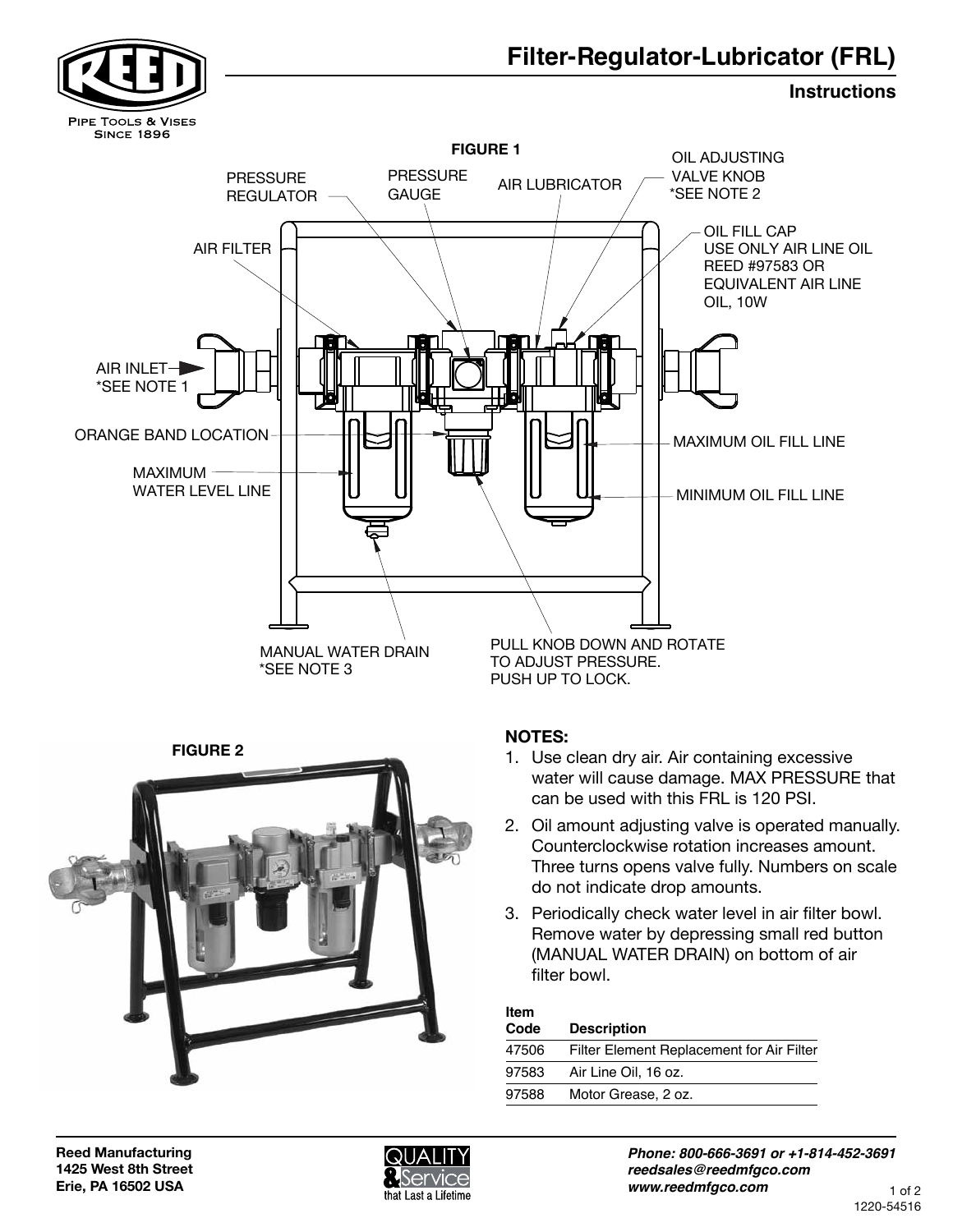



| Item<br>Code | <b>Description</b>                        |
|--------------|-------------------------------------------|
| 47506        | Filter Element Replacement for Air Filter |
| 97583        | Air Line Oil, 16 oz.                      |
| 97588        | Motor Grease, 2 oz.                       |
|              |                                           |